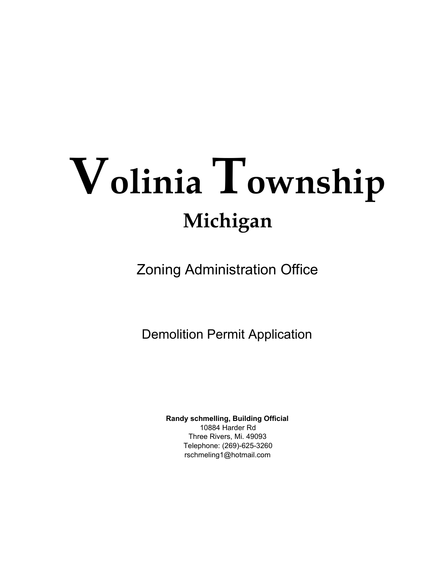# **Volinia Township Michigan**

Zoning Administration Office

Demolition Permit Application

**Randy schmelling, Building Official** 10884 Harder Rd Three Rivers, Mi. 49093 Telephone: (269)-625-3260 rschmeling1@hotmail.com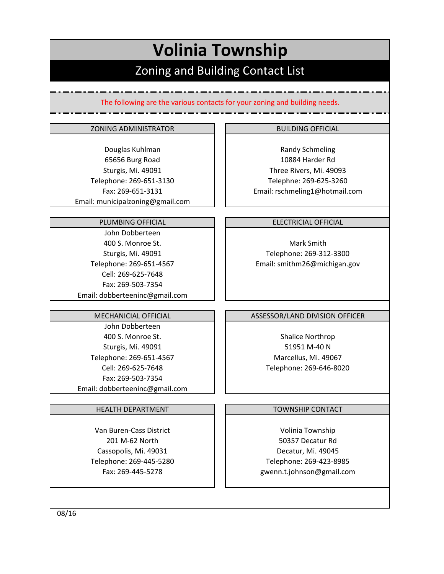# **Volinia Township** Zoning and Building Contact List

The following are the various contacts for your zoning and building needs.

#### ZONING ADMINISTRATOR **BUILDING OFFICIAL**

Fax: 269‐651‐3131 Email: municipalzoning@gmail.com 65656 Burg Road Sturgis, Mi. 49091 Telephone: 269‐651‐3130 Douglas Kuhlman

#### PLUMBING OFFICIAL

Sturgis, Mi. 49091 John Dobberteen Telephone: 269‐651‐4567 Fax: 269‐503‐7354 Email: dobberteeninc@gmail.com Cell: 269‐625‐7648 400 S. Monroe St.

#### MECHANICIAL OFFICIAL

Email: dobberteeninc@gmail.com 400 S. Monroe St. Sturgis, Mi. 49091 Telephone: 269‐651‐4567 Cell: 269‐625‐7648 Fax: 269‐503‐7354 John Dobberteen

#### HEALTH DEPARTMENT

Van Buren‐Cass District 201 M‐62 North Cassopolis, Mi. 49031 Telephone: 269‐445‐5280 Fax: 269‐445‐5278

Email: rschmeling1@hotmail.com 10884 Harder Rd Three Rivers, Mi. 49093 Telephne: 269‐625‐3260 Randy Schmeling

#### ELECTRICIAL OFFICIAL

Telephone: 269‐312‐3300 Email: smithm26@michigan.gov Mark Smith

#### ASSESSOR/LAND DIVISION OFFICER

Shalice Northrop 51951 M‐40 N Marcellus, Mi. 49067 Telephone: 269‐646‐8020

#### TOWNSHIP CONTACT

Volinia Township 50357 Decatur Rd Decatur, Mi. 49045 Telephone: 269‐423‐8985 gwenn.t.johnson@gmail.com